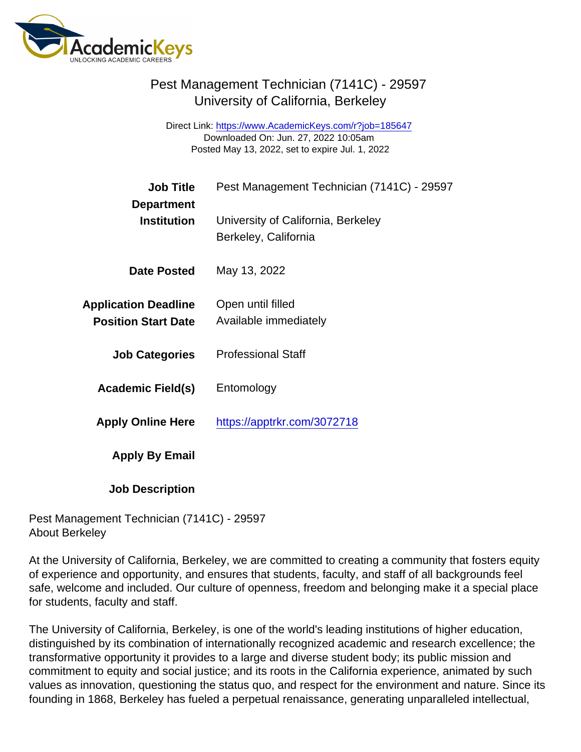Direct Link: <https://www.AcademicKeys.com/r?job=185647> Downloaded On: Jun. 27, 2022 10:05am Posted May 13, 2022, set to expire Jul. 1, 2022

| <b>Job Title</b>                                          | Pest Management Technician (7141C) - 29597                 |
|-----------------------------------------------------------|------------------------------------------------------------|
| Department<br>Institution                                 | University of California, Berkeley<br>Berkeley, California |
| Date Posted                                               | May 13, 2022                                               |
| <b>Application Deadline</b><br><b>Position Start Date</b> | Open until filled<br>Available immediately                 |
| <b>Job Categories</b>                                     | <b>Professional Staff</b>                                  |
| Academic Field(s)                                         | Entomology                                                 |
| <b>Apply Online Here</b>                                  | https://apptrkr.com/3072718                                |
| Apply By Email                                            |                                                            |
| <b>Job Description</b>                                    |                                                            |

Pest Management Technician (7141C) - 29597 About Berkeley

At the University of California, Berkeley, we are committed to creating a community that fosters equity of experience and opportunity, and ensures that students, faculty, and staff of all backgrounds feel safe, welcome and included. Our culture of openness, freedom and belonging make it a special place for students, faculty and staff.

The University of California, Berkeley, is one of the world's leading institutions of higher education, distinguished by its combination of internationally recognized academic and research excellence; the transformative opportunity it provides to a large and diverse student body; its public mission and commitment to equity and social justice; and its roots in the California experience, animated by such values as innovation, questioning the status quo, and respect for the environment and nature. Since its founding in 1868, Berkeley has fueled a perpetual renaissance, generating unparalleled intellectual,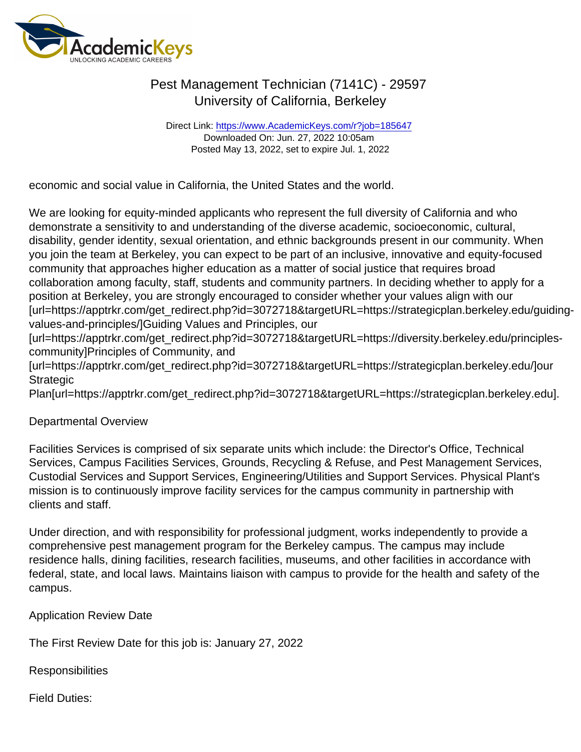Direct Link: <https://www.AcademicKeys.com/r?job=185647> Downloaded On: Jun. 27, 2022 10:05am Posted May 13, 2022, set to expire Jul. 1, 2022

economic and social value in California, the United States and the world.

We are looking for equity-minded applicants who represent the full diversity of California and who demonstrate a sensitivity to and understanding of the diverse academic, socioeconomic, cultural, disability, gender identity, sexual orientation, and ethnic backgrounds present in our community. When you join the team at Berkeley, you can expect to be part of an inclusive, innovative and equity-focused community that approaches higher education as a matter of social justice that requires broad collaboration among faculty, staff, students and community partners. In deciding whether to apply for a position at Berkeley, you are strongly encouraged to consider whether your values align with our [url=https://apptrkr.com/get\_redirect.php?id=3072718&targetURL=https://strategicplan.berkeley.edu/guidingvalues-and-principles/]Guiding Values and Principles, our

[url=https://apptrkr.com/get\_redirect.php?id=3072718&targetURL=https://diversity.berkeley.edu/principlescommunity]Principles of Community, and

[url=https://apptrkr.com/get\_redirect.php?id=3072718&targetURL=https://strategicplan.berkeley.edu/]our **Strategic** 

Plan[url=https://apptrkr.com/get\_redirect.php?id=3072718&targetURL=https://strategicplan.berkeley.edu].

#### Departmental Overview

Facilities Services is comprised of six separate units which include: the Director's Office, Technical Services, Campus Facilities Services, Grounds, Recycling & Refuse, and Pest Management Services, Custodial Services and Support Services, Engineering/Utilities and Support Services. Physical Plant's mission is to continuously improve facility services for the campus community in partnership with clients and staff.

Under direction, and with responsibility for professional judgment, works independently to provide a comprehensive pest management program for the Berkeley campus. The campus may include residence halls, dining facilities, research facilities, museums, and other facilities in accordance with federal, state, and local laws. Maintains liaison with campus to provide for the health and safety of the campus.

Application Review Date

The First Review Date for this job is: January 27, 2022

**Responsibilities** 

Field Duties: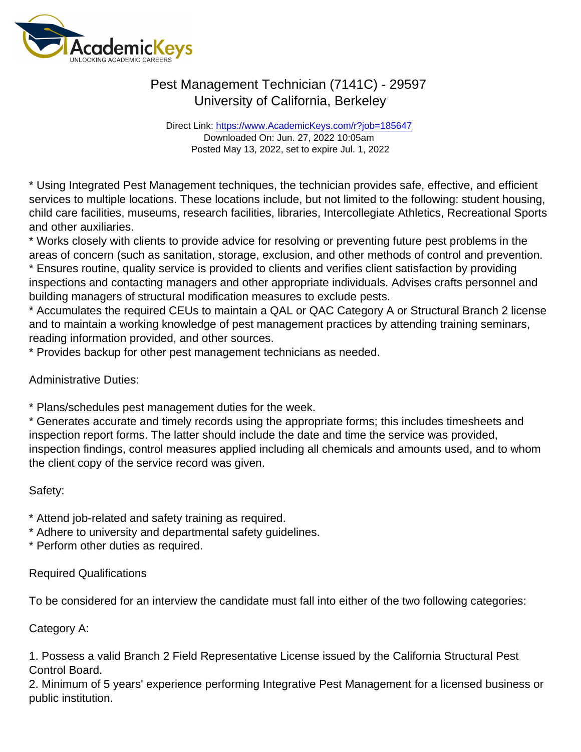Direct Link: <https://www.AcademicKeys.com/r?job=185647> Downloaded On: Jun. 27, 2022 10:05am Posted May 13, 2022, set to expire Jul. 1, 2022

\* Using Integrated Pest Management techniques, the technician provides safe, effective, and efficient services to multiple locations. These locations include, but not limited to the following: student housing, child care facilities, museums, research facilities, libraries, Intercollegiate Athletics, Recreational Sports and other auxiliaries.

\* Works closely with clients to provide advice for resolving or preventing future pest problems in the areas of concern (such as sanitation, storage, exclusion, and other methods of control and prevention. \* Ensures routine, quality service is provided to clients and verifies client satisfaction by providing inspections and contacting managers and other appropriate individuals. Advises crafts personnel and building managers of structural modification measures to exclude pests.

\* Accumulates the required CEUs to maintain a QAL or QAC Category A or Structural Branch 2 license and to maintain a working knowledge of pest management practices by attending training seminars, reading information provided, and other sources.

\* Provides backup for other pest management technicians as needed.

Administrative Duties:

\* Plans/schedules pest management duties for the week.

\* Generates accurate and timely records using the appropriate forms; this includes timesheets and inspection report forms. The latter should include the date and time the service was provided, inspection findings, control measures applied including all chemicals and amounts used, and to whom the client copy of the service record was given.

Safety:

\* Attend job-related and safety training as required.

\* Adhere to university and departmental safety guidelines.

\* Perform other duties as required.

Required Qualifications

To be considered for an interview the candidate must fall into either of the two following categories:

Category A:

1. Possess a valid Branch 2 Field Representative License issued by the California Structural Pest Control Board.

2. Minimum of 5 years' experience performing Integrative Pest Management for a licensed business or public institution.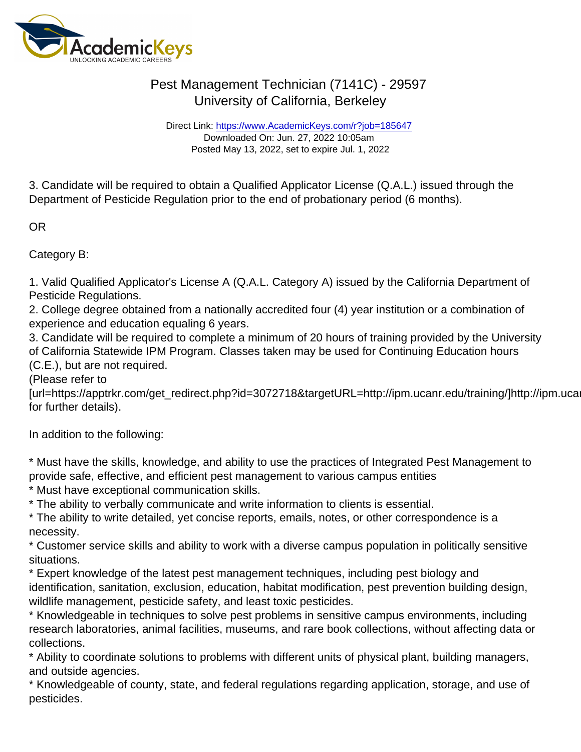Direct Link: <https://www.AcademicKeys.com/r?job=185647> Downloaded On: Jun. 27, 2022 10:05am Posted May 13, 2022, set to expire Jul. 1, 2022

3. Candidate will be required to obtain a Qualified Applicator License (Q.A.L.) issued through the Department of Pesticide Regulation prior to the end of probationary period (6 months).

OR

Category B:

1. Valid Qualified Applicator's License A (Q.A.L. Category A) issued by the California Department of Pesticide Regulations.

2. College degree obtained from a nationally accredited four (4) year institution or a combination of experience and education equaling 6 years.

3. Candidate will be required to complete a minimum of 20 hours of training provided by the University of California Statewide IPM Program. Classes taken may be used for Continuing Education hours (C.E.), but are not required.

(Please refer to

[url=https://apptrkr.com/get\_redirect.php?id=3072718&targetURL=http://ipm.ucanr.edu/training/]http://ipm.ucanr.edu/training/ for further details).

In addition to the following:

\* Must have the skills, knowledge, and ability to use the practices of Integrated Pest Management to provide safe, effective, and efficient pest management to various campus entities

\* Must have exceptional communication skills.

\* The ability to verbally communicate and write information to clients is essential.

\* The ability to write detailed, yet concise reports, emails, notes, or other correspondence is a necessity.

\* Customer service skills and ability to work with a diverse campus population in politically sensitive situations.

\* Expert knowledge of the latest pest management techniques, including pest biology and identification, sanitation, exclusion, education, habitat modification, pest prevention building design, wildlife management, pesticide safety, and least toxic pesticides.

\* Knowledgeable in techniques to solve pest problems in sensitive campus environments, including research laboratories, animal facilities, museums, and rare book collections, without affecting data or collections.

\* Ability to coordinate solutions to problems with different units of physical plant, building managers, and outside agencies.

\* Knowledgeable of county, state, and federal regulations regarding application, storage, and use of pesticides.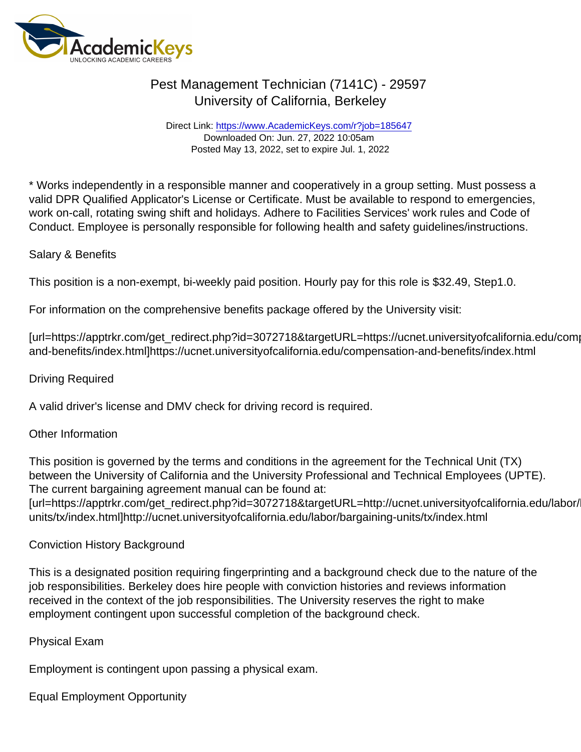Direct Link: <https://www.AcademicKeys.com/r?job=185647> Downloaded On: Jun. 27, 2022 10:05am Posted May 13, 2022, set to expire Jul. 1, 2022

\* Works independently in a responsible manner and cooperatively in a group setting. Must possess a valid DPR Qualified Applicator's License or Certificate. Must be available to respond to emergencies, work on-call, rotating swing shift and holidays. Adhere to Facilities Services' work rules and Code of Conduct. Employee is personally responsible for following health and safety guidelines/instructions.

### Salary & Benefits

This position is a non-exempt, bi-weekly paid position. Hourly pay for this role is \$32.49, Step1.0.

For information on the comprehensive benefits package offered by the University visit:

[url=https://apptrkr.com/get\_redirect.php?id=3072718&targetURL=https://ucnet.universityofcalifornia.edu/comp and-benefits/index.html]https://ucnet.universityofcalifornia.edu/compensation-and-benefits/index.html

#### Driving Required

A valid driver's license and DMV check for driving record is required.

### Other Information

This position is governed by the terms and conditions in the agreement for the Technical Unit (TX) between the University of California and the University Professional and Technical Employees (UPTE). The current bargaining agreement manual can be found at: [url=https://apptrkr.com/get\_redirect.php?id=3072718&targetURL=http://ucnet.universityofcalifornia.edu/labor/

units/tx/index.html]http://ucnet.universityofcalifornia.edu/labor/bargaining-units/tx/index.html

### Conviction History Background

This is a designated position requiring fingerprinting and a background check due to the nature of the job responsibilities. Berkeley does hire people with conviction histories and reviews information received in the context of the job responsibilities. The University reserves the right to make employment contingent upon successful completion of the background check.

### Physical Exam

Employment is contingent upon passing a physical exam.

Equal Employment Opportunity